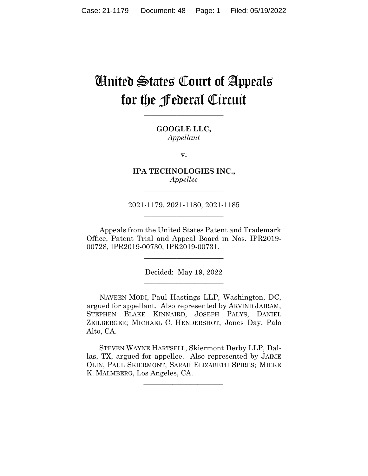# United States Court of Appeals for the Federal Circuit

**\_\_\_\_\_\_\_\_\_\_\_\_\_\_\_\_\_\_\_\_\_\_** 

**GOOGLE LLC,** *Appellant*

**v.**

**IPA TECHNOLOGIES INC.,** *Appellee*

2021-1179, 2021-1180, 2021-1185 **\_\_\_\_\_\_\_\_\_\_\_\_\_\_\_\_\_\_\_\_\_\_** 

**\_\_\_\_\_\_\_\_\_\_\_\_\_\_\_\_\_\_\_\_\_\_** 

Appeals from the United States Patent and Trademark Office, Patent Trial and Appeal Board in Nos. IPR2019- 00728, IPR2019-00730, IPR2019-00731.

 $\overline{\phantom{a}}$  , where  $\overline{\phantom{a}}$  , where  $\overline{\phantom{a}}$  , where  $\overline{\phantom{a}}$ 

Decided: May 19, 2022  $\overline{\phantom{a}}$  , we can assume that the contract of  $\overline{\phantom{a}}$ 

NAVEEN MODI, Paul Hastings LLP, Washington, DC, argued for appellant. Also represented by ARVIND JAIRAM, STEPHEN BLAKE KINNAIRD, JOSEPH PALYS, DANIEL ZEILBERGER; MICHAEL C. HENDERSHOT, Jones Day, Palo Alto, CA.

 STEVEN WAYNE HARTSELL, Skiermont Derby LLP, Dallas, TX, argued for appellee. Also represented by JAIME OLIN, PAUL SKIERMONT, SARAH ELIZABETH SPIRES; MIEKE K. MALMBERG, Los Angeles, CA.

 $\mathcal{L}_\text{max}$  and  $\mathcal{L}_\text{max}$  and  $\mathcal{L}_\text{max}$  and  $\mathcal{L}_\text{max}$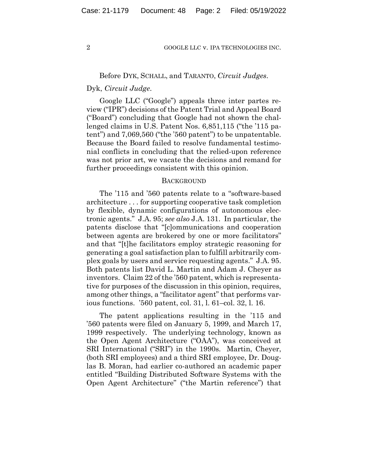# Before DYK, SCHALL, and TARANTO, *Circuit Judges*.

### Dyk, *Circuit Judge*.

Google LLC ("Google") appeals three inter partes review ("IPR") decisions of the Patent Trial and Appeal Board ("Board") concluding that Google had not shown the challenged claims in U.S. Patent Nos. 6,851,115 ("the '115 patent") and 7,069,560 ("the '560 patent") to be unpatentable. Because the Board failed to resolve fundamental testimonial conflicts in concluding that the relied-upon reference was not prior art, we vacate the decisions and remand for further proceedings consistent with this opinion.

#### **BACKGROUND**

The '115 and '560 patents relate to a "software-based architecture . . . for supporting cooperative task completion by flexible, dynamic configurations of autonomous electronic agents." J.A. 95; *see also* J.A. 131. In particular, the patents disclose that "[c]ommunications and cooperation between agents are brokered by one or more facilitators" and that "[t]he facilitators employ strategic reasoning for generating a goal satisfaction plan to fulfill arbitrarily complex goals by users and service requesting agents." J.A. 95. Both patents list David L. Martin and Adam J. Cheyer as inventors. Claim 22 of the '560 patent, which is representative for purposes of the discussion in this opinion, requires, among other things, a "facilitator agent" that performs various functions. '560 patent, col. 31, l. 61–col. 32, l. 16.

The patent applications resulting in the '115 and '560 patents were filed on January 5, 1999, and March 17, 1999 respectively. The underlying technology, known as the Open Agent Architecture ("OAA"), was conceived at SRI International ("SRI") in the 1990s. Martin, Cheyer, (both SRI employees) and a third SRI employee, Dr. Douglas B. Moran, had earlier co-authored an academic paper entitled "Building Distributed Software Systems with the Open Agent Architecture" ("the Martin reference") that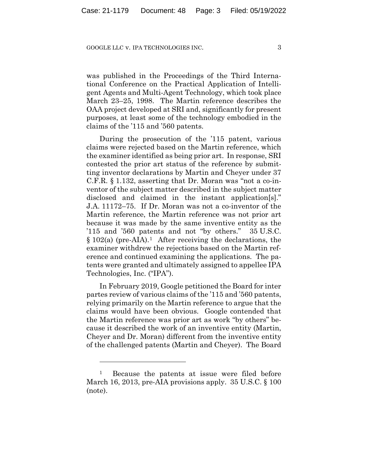#### GOOGLE LLC v. IPA TECHNOLOGIES INC.  $\overline{3}$

was published in the Proceedings of the Third International Conference on the Practical Application of Intelligent Agents and Multi-Agent Technology, which took place March 23–25, 1998. The Martin reference describes the OAA project developed at SRI and, significantly for present purposes, at least some of the technology embodied in the claims of the '115 and '560 patents.

During the prosecution of the '115 patent, various claims were rejected based on the Martin reference, which the examiner identified as being prior art. In response, SRI contested the prior art status of the reference by submitting inventor declarations by Martin and Cheyer under 37 C.F.R. § 1.132, asserting that Dr. Moran was "not a co-inventor of the subject matter described in the subject matter disclosed and claimed in the instant application[s]." J.A. 11172–75. If Dr. Moran was not a co-inventor of the Martin reference, the Martin reference was not prior art because it was made by the same inventive entity as the '115 and '560 patents and not "by others." 35 U.S.C.  $§ 102(a)$  (pre-AIA).<sup>1</sup> After receiving the declarations, the examiner withdrew the rejections based on the Martin reference and continued examining the applications. The patents were granted and ultimately assigned to appellee IPA Technologies, Inc. ("IPA").

In February 2019, Google petitioned the Board for inter partes review of various claims of the '115 and '560 patents, relying primarily on the Martin reference to argue that the claims would have been obvious. Google contended that the Martin reference was prior art as work "by others" because it described the work of an inventive entity (Martin, Cheyer and Dr. Moran) different from the inventive entity of the challenged patents (Martin and Cheyer). The Board

<sup>&</sup>lt;sup>1</sup> Because the patents at issue were filed before March 16, 2013, pre-AIA provisions apply. 35 U.S.C. § 100 (note).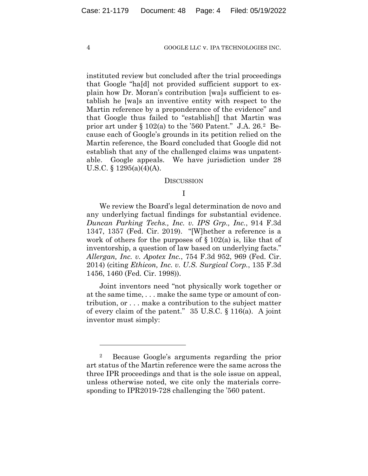instituted review but concluded after the trial proceedings that Google "ha[d] not provided sufficient support to explain how Dr. Moran's contribution [wa]s sufficient to establish he [wa]s an inventive entity with respect to the Martin reference by a preponderance of the evidence" and that Google thus failed to "establish[] that Martin was prior art under § 102(a) to the '560 Patent." J.A. 26.2 Because each of Google's grounds in its petition relied on the Martin reference, the Board concluded that Google did not establish that any of the challenged claims was unpatentable. Google appeals. We have jurisdiction under 28 U.S.C. § 1295(a)(4)(A).

#### DISCUSSION

# I

We review the Board's legal determination de novo and any underlying factual findings for substantial evidence. *Duncan Parking Techs., Inc. v. IPS Grp., Inc.*, 914 F.3d 1347, 1357 (Fed. Cir. 2019). "[W]hether a reference is a work of others for the purposes of  $\S 102(a)$  is, like that of inventorship, a question of law based on underlying facts." *Allergan, Inc. v. Apotex Inc.*, 754 F.3d 952, 969 (Fed. Cir. 2014) (citing *Ethicon, Inc. v. U.S. Surgical Corp.*, 135 F.3d 1456, 1460 (Fed. Cir. 1998)).

Joint inventors need "not physically work together or at the same time, . . . make the same type or amount of contribution, or . . . make a contribution to the subject matter of every claim of the patent." 35 U.S.C. § 116(a). A joint inventor must simply:

<sup>2</sup> Because Google's arguments regarding the prior art status of the Martin reference were the same across the three IPR proceedings and that is the sole issue on appeal, unless otherwise noted, we cite only the materials corresponding to IPR2019-728 challenging the '560 patent.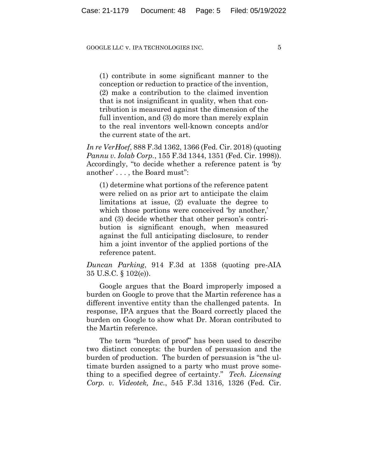(1) contribute in some significant manner to the conception or reduction to practice of the invention, (2) make a contribution to the claimed invention that is not insignificant in quality, when that contribution is measured against the dimension of the full invention, and (3) do more than merely explain to the real inventors well-known concepts and/or the current state of the art.

*In re VerHoef*, 888 F.3d 1362, 1366 (Fed. Cir. 2018) (quoting *Pannu v. Iolab Corp.*, 155 F.3d 1344, 1351 (Fed. Cir. 1998)). Accordingly, "to decide whether a reference patent is 'by another' . . . , the Board must":

(1) determine what portions of the reference patent were relied on as prior art to anticipate the claim limitations at issue, (2) evaluate the degree to which those portions were conceived 'by another,' and (3) decide whether that other person's contribution is significant enough, when measured against the full anticipating disclosure, to render him a joint inventor of the applied portions of the reference patent.

*Duncan Parking*, 914 F.3d at 1358 (quoting pre-AIA 35 U.S.C. § 102(e)).

Google argues that the Board improperly imposed a burden on Google to prove that the Martin reference has a different inventive entity than the challenged patents. In response, IPA argues that the Board correctly placed the burden on Google to show what Dr. Moran contributed to the Martin reference.

The term "burden of proof" has been used to describe two distinct concepts: the burden of persuasion and the burden of production. The burden of persuasion is "the ultimate burden assigned to a party who must prove something to a specified degree of certainty." *Tech. Licensing Corp. v. Videotek, Inc.*, 545 F.3d 1316, 1326 (Fed. Cir.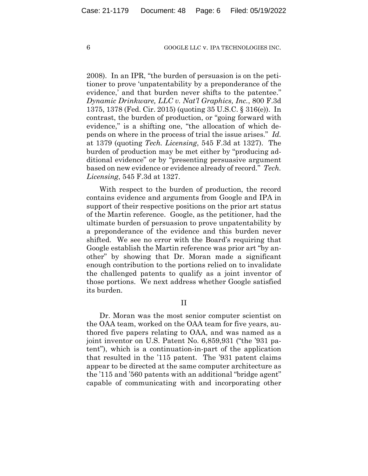2008). In an IPR, "the burden of persuasion is on the petitioner to prove 'unpatentability by a preponderance of the evidence,' and that burden never shifts to the patentee." *Dynamic Drinkware, LLC v. Nat'l Graphics, Inc.*, 800 F.3d 1375, 1378 (Fed. Cir. 2015) (quoting 35 U.S.C. § 316(e)). In contrast, the burden of production, or "going forward with evidence," is a shifting one, "the allocation of which depends on where in the process of trial the issue arises." *Id.* at 1379 (quoting *Tech. Licensing*, 545 F.3d at 1327). The burden of production may be met either by "producing additional evidence" or by "presenting persuasive argument based on new evidence or evidence already of record." *Tech. Licensing*, 545 F.3d at 1327.

With respect to the burden of production, the record contains evidence and arguments from Google and IPA in support of their respective positions on the prior art status of the Martin reference. Google, as the petitioner, had the ultimate burden of persuasion to prove unpatentability by a preponderance of the evidence and this burden never shifted. We see no error with the Board's requiring that Google establish the Martin reference was prior art "by another" by showing that Dr. Moran made a significant enough contribution to the portions relied on to invalidate the challenged patents to qualify as a joint inventor of those portions. We next address whether Google satisfied its burden.

II

Dr. Moran was the most senior computer scientist on the OAA team, worked on the OAA team for five years, authored five papers relating to OAA, and was named as a joint inventor on U.S. Patent No. 6,859,931 ("the '931 patent"), which is a continuation-in-part of the application that resulted in the '115 patent. The '931 patent claims appear to be directed at the same computer architecture as the '115 and '560 patents with an additional "bridge agent" capable of communicating with and incorporating other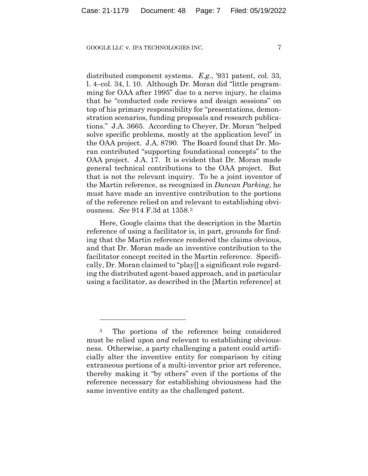distributed component systems. *E.g.*, '931 patent, col. 33, l. 4–col. 34, l. 10. Although Dr. Moran did "little programming for OAA after 1995" due to a nerve injury, he claims that he "conducted code reviews and design sessions" on top of his primary responsibility for "presentations, demonstration scenarios, funding proposals and research publications." J.A. 3665. According to Cheyer, Dr. Moran "helped solve specific problems, mostly at the application level" in the OAA project. J.A. 8790. The Board found that Dr. Moran contributed "supporting foundational concepts" to the OAA project. J.A. 17. It is evident that Dr. Moran made general technical contributions to the OAA project. But that is not the relevant inquiry. To be a joint inventor of the Martin reference, as recognized in *Duncan Parking*, he must have made an inventive contribution to the portions of the reference relied on and relevant to establishing obviousness. *See* 914 F.3d at 1358.3

Here, Google claims that the description in the Martin reference of using a facilitator is, in part, grounds for finding that the Martin reference rendered the claims obvious, and that Dr. Moran made an inventive contribution to the facilitator concept recited in the Martin reference. Specifically, Dr. Moran claimed to "play[] a significant role regarding the distributed agent-based approach, and in particular using a facilitator, as described in the [Martin reference] at

<sup>&</sup>lt;sup>3</sup> The portions of the reference being considered must be relied upon *and* relevant to establishing obviousness. Otherwise, a party challenging a patent could artificially alter the inventive entity for comparison by citing extraneous portions of a multi-inventor prior art reference, thereby making it "by others" even if the portions of the reference necessary for establishing obviousness had the same inventive entity as the challenged patent.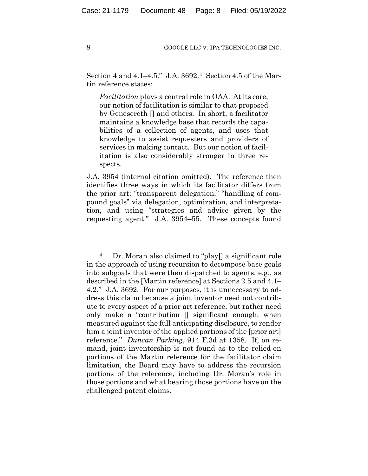Section 4 and 4.1–4.5." J.A. 3692.4 Section 4.5 of the Martin reference states:

*Facilitation* plays a central role in OAA. At its core, our notion of facilitation is similar to that proposed by Genesereth [] and others. In short, a facilitator maintains a knowledge base that records the capabilities of a collection of agents, and uses that knowledge to assist requesters and providers of services in making contact. But our notion of facilitation is also considerably stronger in three respects.

J.A. 3954 (internal citation omitted). The reference then identifies three ways in which its facilitator differs from the prior art: "transparent delegation," "handling of compound goals" via delegation, optimization, and interpretation, and using "strategies and advice given by the requesting agent." J.A. 3954–55. These concepts found

<sup>4</sup> Dr. Moran also claimed to "play[] a significant role in the approach of using recursion to decompose base goals into subgoals that were then dispatched to agents, e.g., as described in the [Martin reference] at Sections 2.5 and 4.1– 4.2." J.A. 3692. For our purposes, it is unnecessary to address this claim because a joint inventor need not contribute to every aspect of a prior art reference, but rather need only make a "contribution [] significant enough, when measured against the full anticipating disclosure, to render him a joint inventor of the applied portions of the [prior art] reference." *Duncan Parking*, 914 F.3d at 1358. If, on remand, joint inventorship is not found as to the relied-on portions of the Martin reference for the facilitator claim limitation, the Board may have to address the recursion portions of the reference, including Dr. Moran's role in those portions and what bearing those portions have on the challenged patent claims.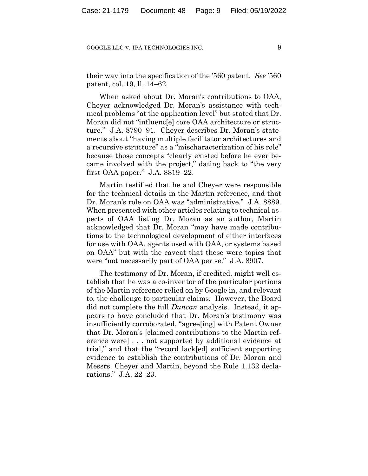their way into the specification of the '560 patent. *See* '560 patent, col. 19, ll. 14–62.

When asked about Dr. Moran's contributions to OAA, Cheyer acknowledged Dr. Moran's assistance with technical problems "at the application level" but stated that Dr. Moran did not "influenc[e] core OAA architecture or structure." J.A. 8790–91. Cheyer describes Dr. Moran's statements about "having multiple facilitator architectures and a recursive structure" as a "mischaracterization of his role" because those concepts "clearly existed before he ever became involved with the project," dating back to "the very first OAA paper." J.A. 8819–22.

Martin testified that he and Cheyer were responsible for the technical details in the Martin reference, and that Dr. Moran's role on OAA was "administrative." J.A. 8889. When presented with other articles relating to technical aspects of OAA listing Dr. Moran as an author, Martin acknowledged that Dr. Moran "may have made contributions to the technological development of either interfaces for use with OAA, agents used with OAA, or systems based on OAA" but with the caveat that these were topics that were "not necessarily part of OAA per se." J.A. 8907.

The testimony of Dr. Moran, if credited, might well establish that he was a co-inventor of the particular portions of the Martin reference relied on by Google in, and relevant to, the challenge to particular claims. However, the Board did not complete the full *Duncan* analysis. Instead, it appears to have concluded that Dr. Moran's testimony was insufficiently corroborated, "agree[ing] with Patent Owner that Dr. Moran's [claimed contributions to the Martin reference were] . . . not supported by additional evidence at trial," and that the "record lack[ed] sufficient supporting evidence to establish the contributions of Dr. Moran and Messrs. Cheyer and Martin, beyond the Rule 1.132 declarations." J.A. 22–23.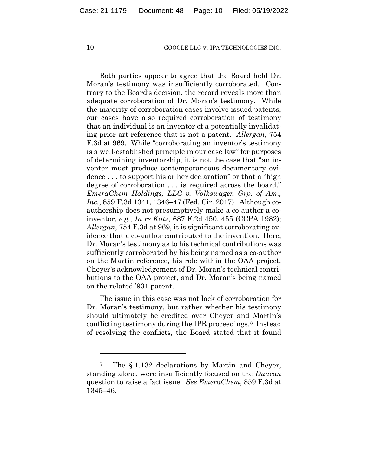Both parties appear to agree that the Board held Dr. Moran's testimony was insufficiently corroborated. Contrary to the Board's decision, the record reveals more than adequate corroboration of Dr. Moran's testimony. While the majority of corroboration cases involve issued patents, our cases have also required corroboration of testimony that an individual is an inventor of a potentially invalidating prior art reference that is not a patent. *Allergan*, 754 F.3d at 969. While "corroborating an inventor's testimony is a well-established principle in our case law" for purposes of determining inventorship, it is not the case that "an inventor must produce contemporaneous documentary evidence . . . to support his or her declaration" or that a "high degree of corroboration . . . is required across the board." *EmeraChem Holdings, LLC v. Volkswagen Grp. of Am., Inc.*, 859 F.3d 1341, 1346–47 (Fed. Cir. 2017). Although coauthorship does not presumptively make a co-author a coinventor, *e.g.*, *In re Katz*, 687 F.2d 450, 455 (CCPA 1982); *Allergan*, 754 F.3d at 969, it is significant corroborating evidence that a co-author contributed to the invention. Here, Dr. Moran's testimony as to his technical contributions was sufficiently corroborated by his being named as a co-author on the Martin reference, his role within the OAA project, Cheyer's acknowledgement of Dr. Moran's technical contributions to the OAA project, and Dr. Moran's being named on the related '931 patent.

The issue in this case was not lack of corroboration for Dr. Moran's testimony, but rather whether his testimony should ultimately be credited over Cheyer and Martin's conflicting testimony during the IPR proceedings.5 Instead of resolving the conflicts, the Board stated that it found

<sup>5</sup> The § 1.132 declarations by Martin and Cheyer, standing alone, were insufficiently focused on the *Duncan*  question to raise a fact issue. *See EmeraChem*, 859 F.3d at 1345–46.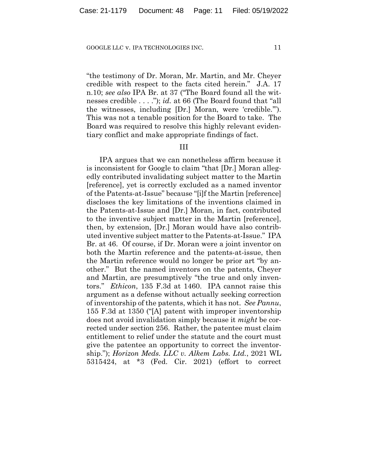"the testimony of Dr. Moran, Mr. Martin, and Mr. Cheyer credible with respect to the facts cited herein." J.A. 17 n.10; *see also* IPA Br. at 37 ("The Board found all the witnesses credible . . . ."); *id.* at 66 (The Board found that "all the witnesses, including [Dr.] Moran, were 'credible.'"). This was not a tenable position for the Board to take. The Board was required to resolve this highly relevant evidentiary conflict and make appropriate findings of fact.

## III

IPA argues that we can nonetheless affirm because it is inconsistent for Google to claim "that [Dr.] Moran allegedly contributed invalidating subject matter to the Martin [reference], yet is correctly excluded as a named inventor of the Patents-at-Issue" because "[i]f the Martin [reference] discloses the key limitations of the inventions claimed in the Patents-at-Issue and [Dr.] Moran, in fact, contributed to the inventive subject matter in the Martin [reference], then, by extension, [Dr.] Moran would have also contributed inventive subject matter to the Patents-at-Issue." IPA Br. at 46. Of course, if Dr. Moran were a joint inventor on both the Martin reference and the patents-at-issue, then the Martin reference would no longer be prior art "by another." But the named inventors on the patents, Cheyer and Martin, are presumptively "the true and only inventors." *Ethicon*, 135 F.3d at 1460. IPA cannot raise this argument as a defense without actually seeking correction of inventorship of the patents, which it has not. *See Pannu*, 155 F.3d at 1350 ("[A] patent with improper inventorship does not avoid invalidation simply because it *might* be corrected under section 256. Rather, the patentee must claim entitlement to relief under the statute and the court must give the patentee an opportunity to correct the inventorship."); *Horizon Meds. LLC v. Alkem Labs. Ltd.*, 2021 WL 5315424, at \*3 (Fed. Cir. 2021) (effort to correct